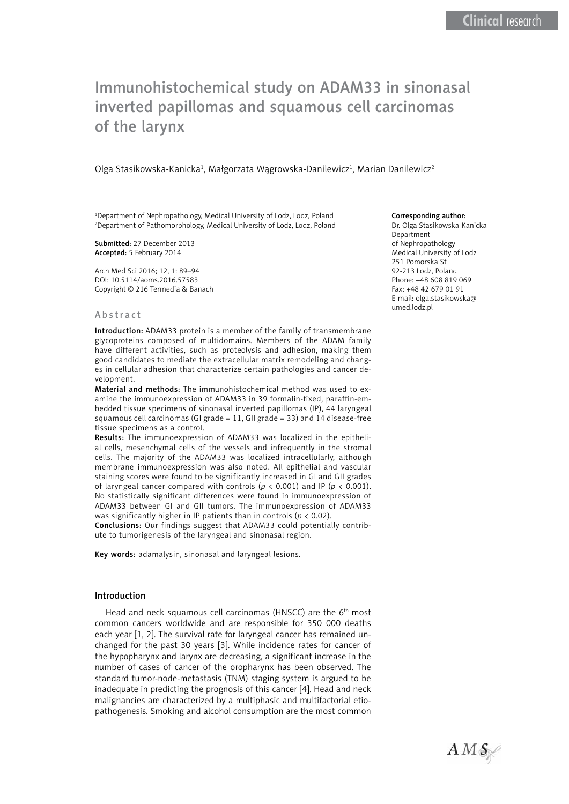# Immunohistochemical study on ADAM33 in sinonasal inverted papillomas and squamous cell carcinomas of the larynx

Olga Stasikowska-Kanicka<sup>1</sup>, Małgorzata Wągrowska-Danilewicz<sup>1</sup>, Marian Danilewicz<sup>2</sup>

<sup>1</sup>Department of Nephropathology, Medical University of Lodz, Lodz, Poland 2 Department of Pathomorphology, Medical University of Lodz, Lodz, Poland

Submitted: 27 December 2013 Accepted: 5 February 2014

Arch Med Sci 2016; 12, 1: 89–94 DOI: 10.5114/aoms.2016.57583 Copyright © 216 Termedia & Banach

#### Abstract

Introduction: ADAM33 protein is a member of the family of transmembrane glycoproteins composed of multidomains. Members of the ADAM family have different activities, such as proteolysis and adhesion, making them good candidates to mediate the extracellular matrix remodeling and changes in cellular adhesion that characterize certain pathologies and cancer development.

Material and methods: The immunohistochemical method was used to examine the immunoexpression of ADAM33 in 39 formalin-fixed, paraffin-embedded tissue specimens of sinonasal inverted papillomas (IP), 44 laryngeal squamous cell carcinomas (GI grade = 11, GII grade = 33) and 14 disease-free tissue specimens as a control.

Results: The immunoexpression of ADAM33 was localized in the epithelial cells, mesenchymal cells of the vessels and infrequently in the stromal cells. The majority of the ADAM33 was localized intracellularly, although membrane immunoexpression was also noted. All epithelial and vascular staining scores were found to be significantly increased in GI and GII grades of laryngeal cancer compared with controls ( $p < 0.001$ ) and IP ( $p < 0.001$ ). No statistically significant differences were found in immunoexpression of ADAM33 between GI and GII tumors. The immunoexpression of ADAM33 was significantly higher in IP patients than in controls (*p* < 0.02).

Conclusions: Our findings suggest that ADAM33 could potentially contribute to tumorigenesis of the laryngeal and sinonasal region.

Key words: adamalysin, sinonasal and laryngeal lesions.

## Introduction

Head and neck squamous cell carcinomas (HNSCC) are the 6<sup>th</sup> most common cancers worldwide and are responsible for 350 000 deaths each year [1, 2]. The survival rate for laryngeal cancer has remained unchanged for the past 30 years [3]. While incidence rates for cancer of the hypopharynx and larynx are decreasing, a significant increase in the number of cases of cancer of the oropharynx has been observed. The standard tumor-node-metastasis (TNM) staging system is argued to be inadequate in predicting the prognosis of this cancer [4]. Head and neck malignancies are characterized by a multiphasic and multifactorial etiopathogenesis. Smoking and alcohol consumption are the most common

#### Corresponding author:

Dr. Olga Stasikowska-Kanicka Department of Nephropathology Medical University of Lodz 251 Pomorska St 92-213 Lodz, Poland Phone: +48 608 819 069 Fax: +48 42 679 01 91 E-mail: [olga.stasikowska@](mailto:olgast@op.pl) [umed.lodz.pl](mailto:olgast@op.pl)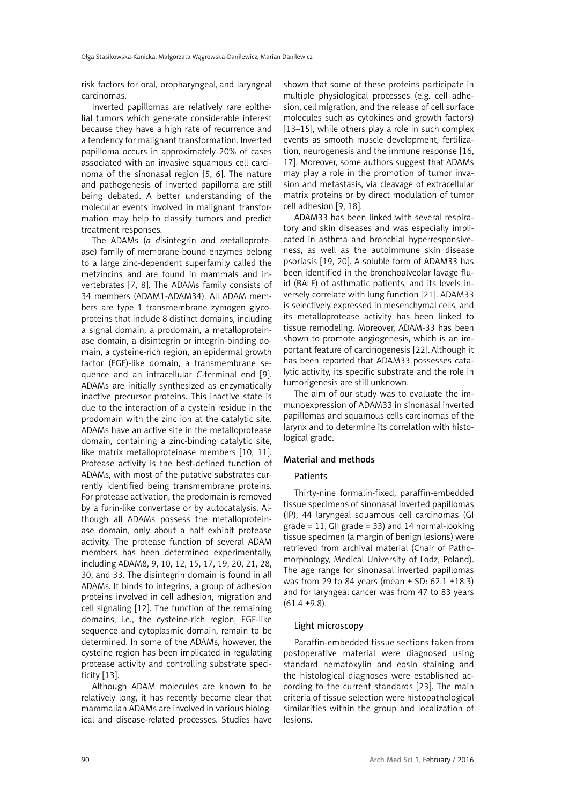risk factors for oral, oropharyngeal, and laryngeal carcinomas.

Inverted papillomas are relatively rare epithelial tumors which generate considerable interest because they have a high rate of recurrence and a tendency for malignant transformation. Inverted papilloma occurs in approximately 20% of cases associated with an invasive squamous cell carcinoma of the sinonasal region [5, 6]. The nature and pathogenesis of inverted papilloma are still being debated. A better understanding of the molecular events involved in malignant transformation may help to classify tumors and predict treatment responses.

The ADAMs (*a d*isintegrin *a*nd *m*etalloprotease) family of membrane-bound enzymes belong to a large zinc-dependent superfamily called the metzincins and are found in mammals and invertebrates [7, 8]. The ADAMs family consists of 34 members (ADAM1-ADAM34). All ADAM members are type 1 transmembrane zymogen glycoproteins that include 8 distinct domains, including a signal domain, a prodomain, a metalloproteinase domain, a disintegrin or integrin-binding domain, a cysteine-rich region, an epidermal growth factor (EGF)-like domain, a transmembrane sequence and an intracellular *C*-terminal end [9]. ADAMs are initially synthesized as enzymatically inactive precursor proteins. This inactive state is due to the interaction of a cystein residue in the prodomain with the zinc ion at the catalytic site. ADAMs have an active site in the metalloprotease domain, containing a zinc-binding catalytic site, like matrix metalloproteinase members [10, 11]. Protease activity is the best-defined function of ADAMs, with most of the putative substrates currently identified being transmembrane proteins. For protease activation, the prodomain is removed by a furin-like convertase or by autocatalysis. Although all ADAMs possess the metalloproteinase domain, only about a half exhibit protease activity. The protease function of several ADAM members has been determined experimentally, including ADAM8, 9, 10, 12, 15, 17, 19, 20, 21, 28, 30, and 33. The disintegrin domain is found in all ADAMs. It binds to integrins, a group of adhesion proteins involved in cell adhesion, migration and cell signaling [12]. The function of the remaining domains, i.e., the cysteine-rich region, EGF-like sequence and cytoplasmic domain, remain to be determined. In some of the ADAMs, however, the cysteine region has been implicated in regulating protease activity and controlling substrate specificity [13].

Although ADAM molecules are known to be relatively long, it has recently become clear that mammalian ADAMs are involved in various biological and disease-related processes. Studies have shown that some of these proteins participate in multiple physiological processes (e.g. cell adhesion, cell migration, and the release of cell surface molecules such as cytokines and growth factors) [13–15], while others play a role in such complex events as smooth muscle development, fertilization, neurogenesis and the immune response [16, 17]. Moreover, some authors suggest that ADAMs may play a role in the promotion of tumor invasion and metastasis, via cleavage of extracellular matrix proteins or by direct modulation of tumor cell adhesion [9, 18].

ADAM33 has been linked with several respiratory and skin diseases and was especially implicated in asthma and bronchial hyperresponsiveness, as well as the autoimmune skin disease psoriasis [19, 20]. A soluble form of ADAM33 has been identified in the bronchoalveolar lavage fluid (BALF) of asthmatic patients, and its levels inversely correlate with lung function [21]. ADAM33 is selectively expressed in mesenchymal cells, and its metalloprotease activity has been linked to tissue remodeling. Moreover, ADAM-33 has been shown to promote angiogenesis, which is an important feature of carcinogenesis [22]. Although it has been reported that ADAM33 possesses catalytic activity, its specific substrate and the role in tumorigenesis are still unknown.

The aim of our study was to evaluate the immunoexpression of ADAM33 in sinonasal inverted papillomas and squamous cells carcinomas of the larynx and to determine its correlation with histological grade.

# Material and methods

## **Patients**

Thirty-nine formalin-fixed, paraffin-embedded tissue specimens of sinonasal inverted papillomas (IP), 44 laryngeal squamous cell carcinomas (GI grade = 11, GII grade = 33) and 14 normal-looking tissue specimen (a margin of benign lesions) were retrieved from archival material (Chair of Pathomorphology, Medical University of Lodz, Poland). The age range for sinonasal inverted papillomas was from 29 to 84 years (mean  $\pm$  SD: 62.1  $\pm$ 18.3) and for laryngeal cancer was from 47 to 83 years (61.4 ±9.8).

## Light microscopy

Paraffin-embedded tissue sections taken from postoperative material were diagnosed using standard hematoxylin and eosin staining and the histological diagnoses were established according to the current standards [23]. The main criteria of tissue selection were histopathological similarities within the group and localization of lesions.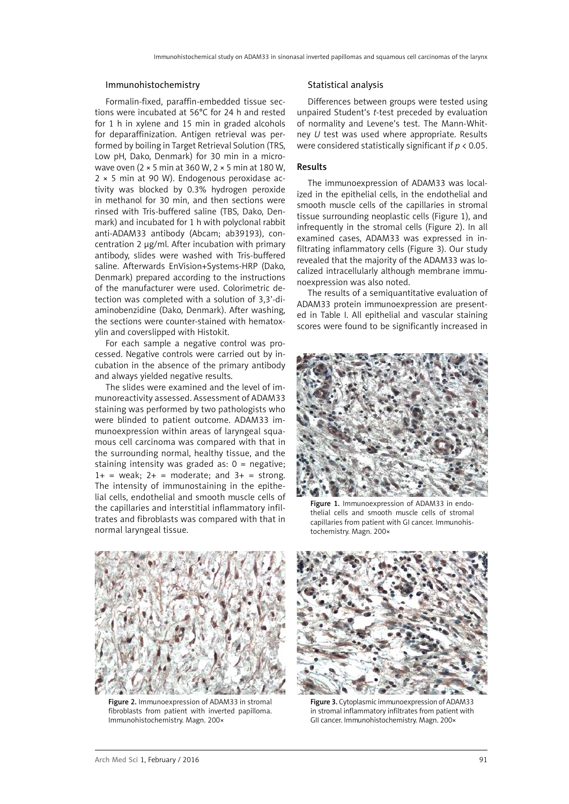#### Immunohistochemistry

Formalin-fixed, paraffin-embedded tissue sections were incubated at 56°C for 24 h and rested for 1 h in xylene and 15 min in graded alcohols for deparaffinization. Antigen retrieval was performed by boiling in Target Retrieval Solution (TRS, Low pH, Dako, Denmark) for 30 min in a microwave oven (2 × 5 min at 360 W, 2 × 5 min at 180 W, 2 × 5 min at 90 W). Endogenous peroxidase activity was blocked by 0.3% hydrogen peroxide in methanol for 30 min, and then sections were rinsed with Tris-buffered saline (TBS, Dako, Denmark) and incubated for 1 h with polyclonal rabbit anti-ADAM33 antibody (Abcam; ab39193), concentration 2 µg/ml. After incubation with primary antibody, slides were washed with Tris-buffered saline. Afterwards EnVision+Systems-HRP (Dako, Denmark) prepared according to the instructions of the manufacturer were used. Colorimetric detection was completed with a solution of 3,3'-diaminobenzidine (Dako, Denmark). After washing, the sections were counter-stained with hematoxylin and coverslipped with Histokit.

For each sample a negative control was processed. Negative controls were carried out by incubation in the absence of the primary antibody and always yielded negative results.

The slides were examined and the level of immunoreactivity assessed. Assessment of ADAM33 staining was performed by two pathologists who were blinded to patient outcome. ADAM33 immunoexpression within areas of laryngeal squamous cell carcinoma was compared with that in the surrounding normal, healthy tissue, and the staining intensity was graded as:  $0 =$  negative;  $1+$  = weak;  $2+$  = moderate; and  $3+$  = strong. The intensity of immunostaining in the epithelial cells, endothelial and smooth muscle cells of the capillaries and interstitial inflammatory infiltrates and fibroblasts was compared with that in normal laryngeal tissue.

#### Statistical analysis

Differences between groups were tested using unpaired Student's *t*-test preceded by evaluation of normality and Levene's test. The Mann-Whitney *U* test was used where appropriate. Results were considered statistically significant if *p* < 0.05.

## Results

The immunoexpression of ADAM33 was localized in the epithelial cells, in the endothelial and smooth muscle cells of the capillaries in stromal tissue surrounding neoplastic cells (Figure 1), and [infrequently](http://www.diki.pl/slownik-angielskiego/?q=infrequently) in the stromal cells (Figure 2). In all examined cases, ADAM33 was expressed in infiltrating inflammatory cells (Figure 3). Our study revealed that the majority of the ADAM33 was localized intracellularly although membrane immunoexpression was also noted.

The results of a semiquantitative evaluation of ADAM33 protein immunoexpression are presented in Table I. All epithelial and vascular staining scores were found to be significantly increased in



Figure 1. Immunoexpression of ADAM33 in endothelial cells and smooth muscle cells of stromal capillaries from patient with GI cancer. Immunohistochemistry. Magn. 200×



Figure 2. Immunoexpression of ADAM33 in stromal fibroblasts from patient with inverted papilloma. Immunohistochemistry. Magn. 200×



Figure 3. Cytoplasmic immunoexpression of ADAM33 in stromal inflammatory infiltrates from patient with GII cancer. Immunohistochemistry. Magn. 200×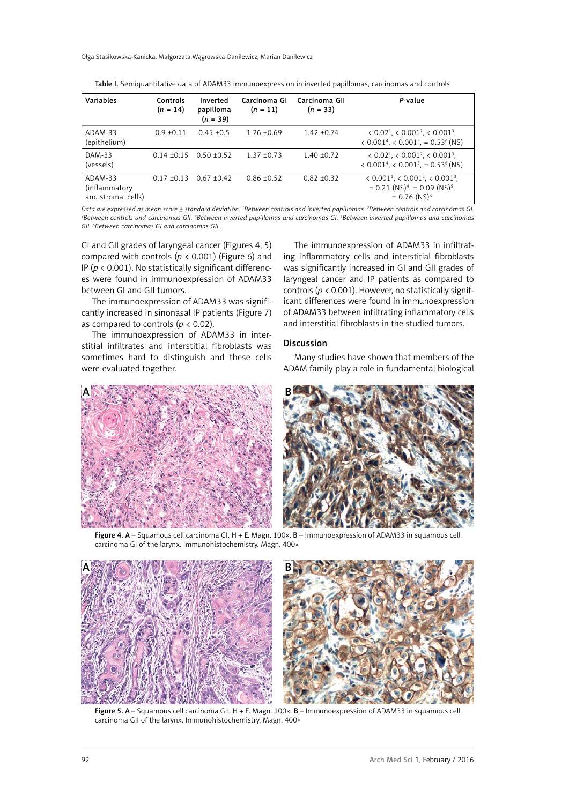| Variables                                       | Controls<br>$(n = 14)$ | Inverted<br>papilloma<br>$(n = 39)$ | Carcinoma Gl<br>$(n = 11)$ | Carcinoma GII<br>$(n = 33)$ | P-value                                                                                                                                                         |
|-------------------------------------------------|------------------------|-------------------------------------|----------------------------|-----------------------------|-----------------------------------------------------------------------------------------------------------------------------------------------------------------|
| ADAM-33<br>(epithelium)                         | $0.9 + 0.11$           | $0.45 \pm 0.5$                      | $1.26 + 0.69$              | $1.42 + 0.74$               | $\langle 0.02^1, \langle 0.001^2, \langle 0.001^3, \rangle \rangle$<br>$\langle 0.001^4, \langle 0.001^5, = 0.53^6 \rangle$ (NS)                                |
| DAM-33<br>(vessels)                             | $0.14 + 0.15$          | $0.50 + 0.52$                       | $1.37 + 0.73$              | $1.40 \pm 0.72$             | $\langle 0.02^1, \langle 0.001^2, \langle 0.001^3, \rangle \rangle$<br>$\langle 0.001^4, \langle 0.001^5, = 0.53^6 \rangle$ (NS)                                |
| ADAM-33<br>(inflammatory)<br>and stromal cells) | $0.17 + 0.13$          | $0.67 + 0.42$                       | $0.86 \pm 0.52$            | $0.82 + 0.32$               | $\langle 0.001^1, \langle 0.001^2, \langle 0.001^3, \rangle \rangle$<br>$= 0.21$ (NS) <sup>4</sup> , $= 0.09$ (NS) <sup>5</sup> ,<br>$= 0.76$ (NS) <sup>6</sup> |

Table I. Semiquantitative data of ADAM33 immunoexpression in inverted papillomas, carcinomas and controls

*Data are expressed as mean score ± standard deviation. 1 Between controls and inverted papillomas. 2 Between controls and carcinomas GI. 3 Between controls and carcinomas GII. 4 Between inverted papillomas and carcinomas GI. 5 Between inverted papillomas and carcinomas GII. 6 Between carcinomas GI and carcinomas GII.*

GI and GII grades of laryngeal cancer (Figures 4, 5) compared with controls ( $p < 0.001$ ) (Figure 6) and IP (*p* < 0.001). No statistically significant differences were found in immunoexpression of ADAM33 between GI and GII tumors.

The immunoexpression of ADAM33 was significantly increased in sinonasal IP patients (Figure 7) as compared to controls ( $p < 0.02$ ).

The immunoexpression of ADAM33 in interstitial infiltrates and interstitial fibroblasts was sometimes hard to distinguish and these cells were evaluated together.

The immunoexpression of ADAM33 in infiltrating inflammatory cells and interstitial fibroblasts was significantly increased in GI and GII grades of laryngeal cancer and IP patients as compared to controls (*p* < 0.001). However, no statistically significant differences were found in immunoexpression of ADAM33 between infiltrating inflammatory cells and interstitial fibroblasts in the studied tumors.

#### Discussion

Many studies have shown that members of the ADAM family play a role in fundamental biological



Figure 4. A – Squamous cell carcinoma GI. H + E. Magn. 100×. B – Immunoexpression of ADAM33 in squamous cell carcinoma GI of the larynx. Immunohistochemistry. Magn. 400×



Figure 5. A – Squamous cell carcinoma GII. H + E. Magn. 100×. B – Immunoexpression of ADAM33 in squamous cell carcinoma GII of the larynx. Immunohistochemistry. Magn. 400×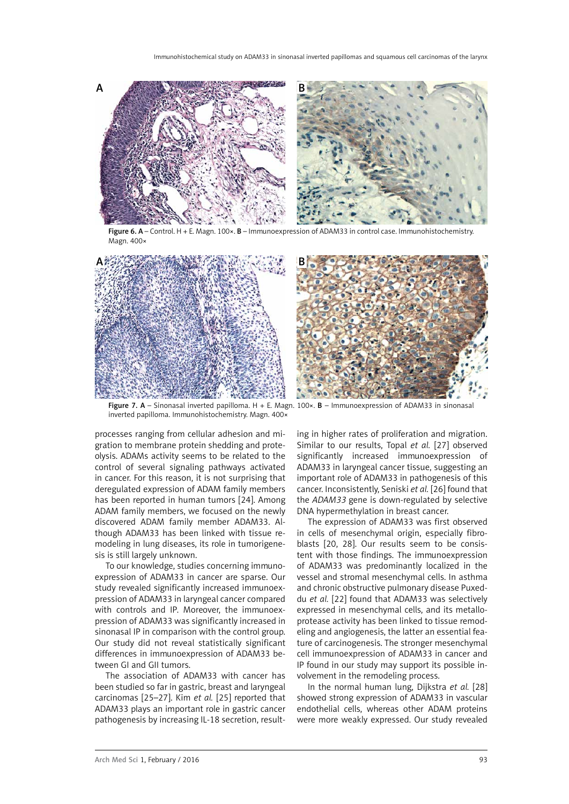

Figure 6. A – Control. H + E. Magn. 100×. B – Immunoexpression of ADAM33 in control case. Immunohistochemistry. Magn. 400×



Figure 7. A – Sinonasal inverted papilloma. H + E. Magn. 100 $\times$ . B – Immunoexpression of ADAM33 in sinonasal inverted papilloma. Immunohistochemistry. Magn. 400×

processes ranging from cellular adhesion and migration to membrane protein shedding and proteolysis. ADAMs activity seems to be related to the control of several signaling pathways activated in cancer. For this reason, it is not surprising that deregulated expression of ADAM family members has been reported in human tumors [24]. Among ADAM family members, we focused on the newly discovered ADAM family member ADAM33. Although ADAM33 has been linked with tissue remodeling in lung diseases, its role in tumorigenesis is still largely unknown.

To our knowledge, studies concerning immunoexpression of ADAM33 in cancer are sparse. Our study revealed significantly increased immunoexpression of ADAM33 in laryngeal cancer compared with controls and IP. Moreover, the immunoexpression of ADAM33 was significantly increased in sinonasal IP in comparison with the control group. Our study did not reveal statistically significant differences in immunoexpression of ADAM33 between GI and GII tumors.

The association of ADAM33 with cancer has been studied so far in gastric, breast and laryngeal carcinomas [25–27]. Kim *et al.* [25] reported that ADAM33 plays an important role in gastric cancer pathogenesis by increasing IL-18 secretion, resulting in higher rates of proliferation and migration. Similar to our results, Topal *et al.* [27] observed significantly increased immunoexpression of ADAM33 in laryngeal cancer tissue, suggesting an important role of ADAM33 in pathogenesis of this cancer. Inconsistently, Seniski *et al.* [26] found that the *ADAM33* gene is down-regulated by selective DNA hypermethylation in breast cancer.

The expression of ADAM33 was first observed in cells of mesenchymal origin, especially fibroblasts [20, 28]. Our results seem to be consistent with those findings. The immunoexpression of ADAM33 was predominantly localized in the vessel and stromal mesenchymal cells. In asthma and chronic obstructive pulmonary disease Puxeddu *et al.* [22] found that ADAM33 was selectively expressed in mesenchymal cells, and its metalloprotease activity has been linked to tissue remodeling and angiogenesis, the latter an essential feature of carcinogenesis. The stronger mesenchymal cell immunoexpression of ADAM33 in cancer and IP found in our study may support its possible involvement in the remodeling process.

In the normal human lung, Dijkstra *et al.* [28] showed strong expression of ADAM33 in vascular endothelial cells, whereas other ADAM proteins were more weakly expressed. Our study revealed